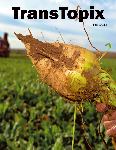# TransTopix

Fall 2013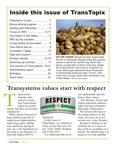# Inside this issue of TransTopix

| President's Corner  3           |
|---------------------------------|
| Bonus referral program  4       |
| Dealing with distraction  5     |
| Focus on RRV  6-11              |
| Our history in the Valley  6    |
|                                 |
| A long history of innovation  8 |
|                                 |
| Innovation: Cages 10            |
| High-tech tractors 11           |
| Division reports 12-16          |
| Summing up summer  17           |
| The women of Transystems 18-21  |
| Adminstrative report  22        |
|                                 |
|                                 |
|                                 |



**ON THE COVER:** Behold the beet. Sugar beets flourish in temperate climates where the growing season is about five months long. When fully grown, a sugar beet is about a foot long, weighs two to five pounds, and is about 18 percent sucrose. Beet sugar represents about 54 percent of domestically-produced sugar. In 2012, 28.9 million tons of sugar beets were harvested in the United States. Rion Sanders photos

### **Transystems values start with respect**

ransystems' strategic plan seeks to ensure that Transystems improves continuously and does not become complacent. The country of the country of the country of the country of the country of the country of the country of the country of the country of the country of the country of the country of the country of the country of the country

While mainly focused on hard numbers (growth of employment opportunities, improving safety, adding new customers and products, etc.), the foundation of this plan is our Mission, Vision and Values (MVV)



statement.

In this issue of TransTopix, we continue to focus on our four core values: Trust, Safety, Respect and Union Free.

It is important that every-

one understands and embraces these values.

The Mission, Vision and Values statement acknowledges the basic principles that guide Transystems.

We started with trust in the spring edition. In this issue, we move on to our second core value: Respect.

Respect is defined as admiration for or a sense of the worth or excellence of a person. We should keep it in mind as we work together.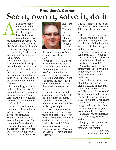# President's Corner **See it, own it, solve it, do it**

t Transystems we focus on finding creative solutions to the challenges we face. To help us reach that end, we are building a culture based on the book, "The Oz Principle: Getting Results through Individual and Organization Accountability." I discussed that book and our plan in my last column. A

This time, I would like to focus on the specific steps that will move us toward our goal. Unlike the Land of Oz, there are no wizards to solve our problems for us. It's up to us. We are accountable for our shortcomings and our successes.

Accountability, according to the Oz Principle, is "A personal choice to rise above one's circumstances and demonstrate the ownership necessary for achieving desired results"

Let's take a look at accountability steps and how they will lead us to a stronger organization. See It – Our ability to acknowledge problems. The Lion in the Wizard of Oz represents the courage to see challenges. The Oz Principle is about being proactive in solving the problems we



know are there. The question we need to ask ourselves is: "What is the real problem

that is preventing us from achieving our desired result?"

Own It – The Tin Man represents the heart to Own It. If we refuse to take ownership in the problem, we won't invest the time to solve it. This is where we play the blame game. If we can blame the problem on someone or something else, then we don't have to deal with it.

The question we need to ask ourselves is: "What role do I play in the problem?" Solve It – The Scarecrow represents the mind to Solve It. Being willing to rise above our circumstances to find a solution is not an easy task but it gets results. This means taking risks and never settling. Always asking "What else can I do?" reframes the conversation. Too often we hear, "We can't do that" or "That's not part of my job."

The question we need to ask ourselves is: "What else can I do to get the results that I want?"

Do It –We can see it, own it, and solve it but if we don't do anything then nothing changes. Doing it means we have to follow through and take action.

The question we need to ask ourselves is: "What actions will I take to make sure the problem is solved and results are achieved?"

Many Transystems people already use the Oz Principle by getting involved and using ingenuity to solve problems.

You will hear and see more about this program as we create a culture of accountability. In my next article, I will discuss the Transystems' Belief Statements that define the direction we are headed with our culture. I will share some of the tools we are using to reinforce these beliefs and stories of employees who are living them.

I am honored and humbled to be part of a great organization.

I hope you will join me on this exciting journey to a stronger organization.

> *Scott Lind, President and COO*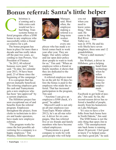# **Bonus referral: Santa's little helper**

hristmas is a'coming and a little extra cash would not be a bad thing. Transystems bonus referral program offers a \$500 bonus to any employee who successfully refers a friend or relative for a job. C<br>ferrel pro

The bonus program has been in place for more than a decade and has really taken off the past two years, according to Ann Powers, Vice President of Finance.

"In 2012, 60 referral bonuses were paid," Ann said. "To date, for calendar year 2013, 54 have been paid; 23 of those since the beginning of the campaign."

It is a program that has proven mutually beneficial. The referring employee gets the cash and Transystems gets a new employee who has been "pre-approved" by a current employee.

The Hillsboro project has seen exceptional use of and benefits from the referral program. Employees throughout the project, from clerks to technicians to drivers and loader operators, have made new employee referrals.

"The program works because the best possible advertising for a company is a happy employee," Tim Plumley, Hillsboro Project



Manager, said. Most often, the employee making a referral is a long-term worker. "Most every em-

ployee who has made a referral comes back to work year after year. They are happy. Our safety culture and our open door policy draw people to want to work for us," Tim said. "When an employee refers a friend or family member, it shows that they are dedicated to the company."

A referred employee must be on the job for 30 days before the bonus is paid to the employee who made the referral. That has increased participation in the program, Tim said.

"Anytime I can give an employee a \$500 check, it's good," he added.

Maxwell Lamb is not only an all-star employee (see TransTopix Winter edition 2012), he's an all-star referrer. A driver for six campaigns, Max has referred five or six friends and family members who have become valued employees.

"Transystems is a good company to work for with good people who will help

you out when you need to know something," Max said. He came to the Red River Tim "Most Valley as a



teen in 1976. He and his wife Sheila have seven daughters, three sons and 12 grandchildren.

"Never a dull moment," Max said.

Jim Wishart, a driver in Hillsboro, gets a helping



hand from technology when he refers friends to Transystems for employment. "I use

Jim

Facebook to get hold of people," Jim said. So far, the second-season driver has referred a handful of people, mostly from his hometown on Lake Michigan.

"It's nice to have a few folks from back home here in North Dakota," Jim said.

The \$500 bonus is not the only thing that spurs Jim to refer. "The unemployment rate back home is running about 20 percent. I feel good to know I've helped someone find a good job," he said.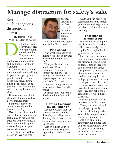# **Manage distraction for safety's sake**

Sensible steps curb dangerous distractions at work

#### **By RICH CARL Vice President of Safety**

istraction is part of everyday life. We cannot eliminate distractions. They can interfere with our productivity, our comfort, and, sometimes, with our wellbeing. D

In some cases, we like distractions and are not willing to give them up, e.g., most people listen to the radio while they drive. Sometimes distractions can be positive. That feisty radio talk show may help us stay alert.

If we cannot or will not eliminate distractions, how do we manage them?

I am particularly concerned about distractions that affect safety.

Over the next few months you will hear from me about techniques to manage distractions while working. I hope that you will apply these techniques to your non-work activities.

Since Transystems' business is so involved with



driving, that will be my first priority in the management of distractions.

Step one: minimize opportunities for distractions.

### Plan ahead

Plan what you need to do during your shift in advance of the beginning of your shift.

This goes beyond your lunch box. Check your schedule. Do you need to contact people or set or change your schedule? Is anyone expecting to contact you? When? How?

Communicating with others often involves the cell phone.

A major safety concern is the distraction of the cell phone.

#### How do I manage my cell phone?

Let people know that you are not always available through your cell phone and that they should not expect an immediate response to a call to you.

Step two: keep your cell phone out of hearing and sight when you should not use it.

When you can hear your cell phone or see its screen, you are tempted to glance at the phone to determine who is calling.

### That glance is dangerous

Two seconds at 60 mph is the distance of two basketball courts – nearly the length of two high school gyms in two seconds.

Three seconds in a school zone at 25 mph is more than the distance between three houses. Think of kids who could step into the street.

Step three: Use your cell phone when appropriate.

When you keep in contact with people who expect you to call you reduce their need to contact you and your concern about maintaining contact. Frequent cell phone contact is OK when in safe situations.

The cell phone is not the only source of distraction.

Place your other things in the cab appropriately.

Do not place things where you will be tempted to reach for them while moving.

Use only an original equipment cup holder that you can reach without averting your eyes or leaning away from the steering wheel or controls.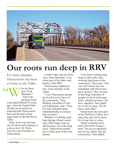

# **Our roots run deep in RRV**

For three decades, Transystems has been at home in the Valley

ho are these guys from Montana?" That's the question Scott Lind asked himself 30 years ago, when the Grand Forks Herald ran an article announcing that Transystems had won the bid to haul sugar beets in the Red River Valley. "W

> Then, Scott was not long out of school and working as a driver for E.W. Wylie. Now he's the President of Transystems.

It didn't take long for those "guys from Montana" to become part of the fabric and family of the RRV.

Transystems employees live, work and play in the Valley.

"I see Transystems people involved in every facet of the community," Don Shilling, president of General Equipment, said. "They live here and participate wholeheartedly in community activities."

Whether it is filling sandbags during a flood, coaching a little league team or sponsoring a car in the drag races, Transystems people are a visible part of the community.

"I see them working long hours at their jobs, then working long hours in the community," Don said. "You can't tell which ones are transplants and which ones grew up here. They are part of that huge fraternity of people involved with sugar beets, whether growers, vendors, suppliers, fuel suppliers or the tire guys. We all know each other."

Transystems has been part of the Red River Valley for a long time and will be there for a long time to come.

"Many residents never knew life before Transystems. You are an ingrained part of our culture and our community," Don added.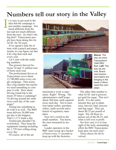# **Numbers tell our story in the Valley**

t is easy to get used to the idea that the campaign is just another campaign. Not much different from the last and not much different from the next. So what's the big deal? Transystems people have been doing this for ACSC for 30 years. I

If we spend a little bit of time with a pencil and paper, maybe we can figure out that it *is* a big deal each and every year.

Let's start with the really big numbers.

The growers harvest between 10 and 11 million tons of beets each year.

The professional drivers at Transystems cover about 13,700,000 miles every single campaign. That seems like a big number but maybe we need something to compare it with. How about driving round trip to the moon 29 times a campaign? Or driving around the earth twice each day of the campaign?

Timing has something to do with it as well. The RRV team delivers 36,000 tons per day to the hoppers. That's 1,171 loads a day.

Technicians shouldn't be overlooked. They keep the equipment running including the 1,728 tires rolling along every day.

Of course, all of the ad-





ministrative work is automatic. Right? Wrong. The administrative staff keeps about 360 time cards squared away each day. Not to mention repair orders, purchase orders, audit records and a bunch of regulatory mandates.

Now let's switch to the small numbers. You know, the ones measured in seconds.

Loader operators in the RRV must scoop up a bucket of beets every 11 seconds to keep up with the factories.

**Above**: The way we were. Transystems' 1994 RRV fleet. **Left**: The way we are now. Brand new tractors and trailers are bringing in the beets in Moorhead this campaign.

The other little number is what ACSC and it growers get paid for sugar. This isn't profit. It is the entire amount they get to plant, raise, harvest, haul, process and bag sugar. They get about \$0.25 per pound of sugar. Pay all those expenses out of the \$0.25, and what is left over is profit.

See how easy it is to lose sight of the truly outstanding effort the RRV Transystems team puts out each year?

Three cheers for all involved.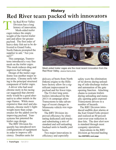### **Red River team packed with innovators History**

he Red River Valley Division has <sup>a</sup> long history of innovation. Mesh-sided trailer cages reduce the empty weight of the tractor-trailer unit and allow for greater payload. The first order of heavy-duty fish net to be delivered to Grand Forks, North Dakota prompted the supplier to ask: "Are you sure?" T

This campaign, Transystems introduced <sup>a</sup> very fine mesh on the trailer cages. This mesh reduces drag and improves fuel mileage.

Design of the trailer cage frame was another major innovation. Chrome moly tubing is the principal structural componen<sup>t</sup> of trailer cages.

A driver who had used chrome moly in his racing car suggested that chrome moly would be <sup>a</sup> good alternative to other metals in the cage frames. While more expensive than steel and aluminum, chrome moly's lightweight more than compensates for the added cost by improving payload. Transystems has patented the trailer cage design.

The RRV Division frequently has introduced new configurations of equipment in order to improve efficiency. Doubles units for



Mesh-sided trailer cages are the most recent innovation from the Red River Valley. Jessica Harris photo

delivery of beets from North Dakota origins to the Hillsboro factory allow for <sup>a</sup> significant improvement in payload and for fewer trips.

The 53-foot long semitrailers introduced for the 2013-14 campaign allow Transystems to take advantage of recent changes in Minnesota vehicle size regulations.

The RRV Division improved efficiency by eliminating dedicated yard trucks and substituting <sup>a</sup> mix of standard and self-unloading linehaul units to handle yard beets.

Two major innovations in efficiency and especially

safety were the elimination of tie-downs during unloading of side-discharge trailers and automation of the gate opening function. Attaching chains to restrain trailers during unloading and manually opening gates exposed Transystems drivers to <sup>a</sup> number of hazards.

The RRV Division introduced audible deer alarms at the East Grand Forks project and realized an 80 percen<sup>t</sup> year-over-year reduction in deer hits. The deer alert now is standard through most company operations.

Innovations in the RRV Division go beyond hauling See HISTORY, next page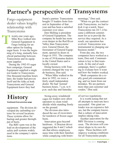# **Partner's perspective of Transystems**

Fargo equipment dealer values lengthy relationship with Transystems

wenty-one years ago, Mike Rice walked into General Equipment in Fargo looking for another option for loading sugar beets. It was the beginning of a long, mutually beneficial partnership between Transystems and its equipment supplier. T

During the 1992-93 sugar beet campaign, General Equipment supplied a single test loader to Transystems. One thousand machine hours later, the loader had proven itself and the folks at both Transystems and General Equipment knew they had

found a partner. Transystems bought 15 loaders from General in September of that year and has been a satisfied customer ever since.

Don Shilling is president of General Equipment. The company he heads has roots even deeper in the Red River Valley than Transystems' own. General Diesel, the forerunner of General Equipment, opened its doors in Fargo in 1951. The company is one of 39 Komatsu dealers in the United States and is locally owned.

Doing business with Transystems changed the way we do business, Don said.

"When Mike walked in the door in 1992, we were a fairly small independent dealer. We had 'normal' business hours, 7 a.m. to 6 p.m. each day and Saturday

### Continued from previous page **History**

equipment. The division developed dry unloading systems for several locations. These systems allow for backup and greater throughpu<sup>t</sup> of beets.

The RRV team was in the lead on development of the safety pull systems widely used in the company's operations.

Swing-away windshield cages for loaders now allow operators to clean windshields while standing firmly on the ground.

The division also introduced the use of excavators for teardown of frozen sugar beets.

Innovation goes beyond hardware. A Drayton driver suggested the 4 and 2 schedule that allows employees more time with their families while complying with hoursmornings," Don said.

"When we got the contract with Transystems, we had to kick it up a notch. Since Transystems ran 24-7, it became a different commitment for us to provide the service they required. As a result, our operation has evolved. Transystems was instrumental in changing our business model."

From day one, the two companies have worked as a team, Don said. Communication is key to that teamwork. At the end of each campaign, there's a gathering to evaluate how it went and how the loaders worked.

"Both companies do a really good job communicating, and we learn from our mistakes. We are partners more than just customer and vendor," Don said.

of-service regulations.

It is worth noting that not all attempts to innovate have succeeded. One giant unloader was an expensive failure, but the company knows that <sup>a</sup> culture of innovation implies taking risks.

Another innovation for the RRV Division is coming soon. The division will construct shops to its own designs. These facilities will improve working conditions for all Transystems people.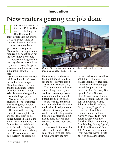### Innovation

# **New trailers getting the job done**

ow do you squeeze 53 feet into 45 feet? That was the challenge the Red River Valley crew tackled late last spring. It was all about taking advantage of recent regulatory changes that allow larger gross vehicle weights in Minnesota. This opportunity requires <sup>a</sup> 53-foot trailer, but the RRV innovators could not increase the length of the beet cage because American Crystal's receiving hoppers accommodate trailer cages to <sup>a</sup> maximum length of 45 feet. H

Solution: Increase the cage height and width and make the trailer frame longer. More beets fit in the cage and the additional eight feet of trailer frame allow for axle placement changes that permit the larger payload.

"We were able to pass that savings on to the customer," Ben Purrington, Division Maintenance Manager, said.

The new trailer and cage concep<sup>t</sup> was complete last spring. Plans went to the trailer builder in Ohio at the end of May, and the first 53 foot trailers started showing up in the valley during the third week of June, enabling the RRV technicians to kick into overdrive to assemble



One of 77 new high-tech tractors pulls a trailer with the new mesh-sided cage. Jessica Harris photo

the new cages and mount them on the trailers in time for the beet harvest. It is <sup>a</sup> Transystems success story.

The new trailers and cages are working out well, and feedback from employees, customer and the general public has all been good. The taller cages and mesh that holds the beets in mean the load is virtually unseen when it is traveling down the road. This not only gives the trailer <sup>a</sup> nice sleek look but also is more efficient and contains the load more effectively.

"You wouldn't have <sup>a</sup> clue what's in the trailer," Ben said. "I took five calls from people who saw the new

trailers and wanted to tell us we did <sup>a</sup> grea<sup>t</sup> job and the trailers look nice," Ben said.

Members of the team that made it happen include Steve and Tim Fazekas, Tim Sproule, Talon Grabow, Greg Jenson, Darrin Emery, Keith Needham, Kalvin Iverson, Paul Unruh, Willard Johnson, Mike Urbashich, Greg Lavine, Edgar Carrenza, Ben Jirout, Mark Braaten, Mark Buethner, Aaron Vigness, Todd Dahl, Kevin Kasprowich, Eric Boushey, Nick Zimmerman, Paul Monley, Jeremy Egstad, TJ Ridley, Shannon Colsen, Jeff Primus, Tyler Niemann, Ryan Wagner, Dave Christopherson and Mark Smith.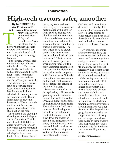### Innovation

# **High-tech tractors safer, smoother**

**By DAN BRENNAN Vice President of IT and Revenue Equipment**

ransystems drivers in the Red River Valley and Renville aren't riding alone. The 77 new Freightliner Cascadia tractors delivered this summer have cabs loaded with new safety and technology features. and 1

> For starters, a virtual technician is always onboard with the driver. The tractor constantly troubleshoots itself, sending data to Freightliner. There, technicians analyze the data and send emails to Transystems' techs. They decide if it's a critical fault or a "service soon" issue. The virtual tech also lets the real techs know which dealer has any necessary parts in stock. This information can prevent a breakdown. We can provide another unit for an employee before the driver is stuck out on the road.

> Then there is the global positioning system which provides a "report card" at the end of each shift. GPS reduces paper work for each driver and generates payroll information. A driver can see which piles have been hauled from, the number of

loads, pay rates and more. Each employee can compare performance with peers for items such as productivity, idle time and fuel economy.

A two-pedal transmission is another new addition. It's a manual transmission that is shifted electronically. The new trucks have no clutch pedals. The transmission learns both the load and how best to shift. The transmission will even skip gears when appropriate. While a fully automatic transmission is expensive, inefficient and heavy, this one is computershifted and drives efficiently, letting the driver concentrate on the road. That translates to less fatigue for drivers at the end of the shift.

Transystems added an industry-leading collision mitigation system to each new tractor. The system is called OnGuard. Radar on the front of each truck watches traffic. The cruise control aid maintains a safe following distance from the vehicle in front of the tractor. It will slow down the tractor or speed it up, as necessary for safety. If a collision is imminent and the driver does not act, the collision mitigation system will and it reacts faster than a driver can.

OnGuard will mean fewer deer hits. Eventually, this system will issue an audible alert if a large animal or other object is on the road. If the object is big enough, the truck will take action to avoid the collision if necessary.

New roll stability control aids drivers who drive the same routes over and over. A tractor will sense the g-force as it goes around a corner and will take away the throttle and apply the brakes if necessary. The system issues an alert in the cab, giving the driver immediate feedback.

Other safety devices on the new tractors include LED headlights, which burn longer and brighter. This means fewer bulb changes and better visibility. Advanced sensors have been added to every wheel resulting in improved electronic traction control performance as well as smarter ABS performance. This helps drivers get going when starting on slippery surfaces. Steering axle air suspensions have been added to these tractors. This suspension provides a smoother ride for the driver and more stability during turns.

See TRACTORS, next page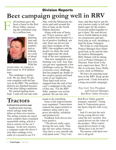### **Beet campaign going well in RRV** Division Reports

F

all moisture gave the beets a boost in the Red River Valley, increasing the estimated crop by a million tons.



A late planting start and fairly dry summer had us looking at a crop of about 9.6 million tons. With the

recent rains, we expect to haul closer to 10.6 million tons.

The campaign is going well. We are about 95 percent complete with the harvest in the RRV. The northern districts are finished because of the drier lifting conditions.

We started hauling beets Sept. 5 and will run into mid-

# **Tractors**

#### Continued from previous page

Sophisticated steering wheel airbags made their debut on these new tractors. The airbag systems are much more complex than <sup>a</sup> standard automobile airbag, which is tied to sensors on the car's bumper. In the new tractors, <sup>a</sup> computer under the driver's seat takes readings every tenth of <sup>a</sup> second to see if it

May with the Minnesota factories and until around the first of June on the North Dakota factories.

Along with tons of beets, our 70 new tractors and 77 new trailers have hauled in a lot of positive feedback, not only from our drivers but also from residents of the RRV. Our neighbors and the people we share the road with appreciate the sleek look of the new equipment.

That new equipment is performing very well. Any time you get new equipment a few challenges come up. We have overcome every challenge that has popped up, thanks to the creative genius and hard work of our employees. Their hard work never stopped from the end of last year's campaign to the start of this one. For the RRV folks, summer was actionpacked. We ran late into

needs to do something.

None of the improvements were mandated. Transystems ordered the improvements to enhance safety and to improve drivability, reliability and productivity.

Feedback from drivers has been positive.

"The drivers really enjoy driving the new units. They like the new safety features. They have <sup>a</sup> very smooth ride with plush seats," Troy Carl,

June, and then had to get the new tractors ready to roll and build cages for the trailers. Everyone pulled together to get it done. We sent drivers out to North Dakota to help on construction and had local jobs as well, including a haul for Kane Transport.

We'd like to wish Drayton Project Manager Kris Helm good luck as he and his family head to Minneapolis. Billy Holum will be taking over as Project Manager in Drayton. Sean Scott is the new supervisor there. We'd like to welcome Tracy Hefta, a new clerk in Hillsboro.

We have an amazing team here in the RRV. Keep up the good work. I look forward to a long successful campaign.

*Troy Carl, Vice President and General Manager, Red River Valley Division*

Red River Valley general manager, reported. "Going back to Transystems green has been <sup>a</sup> big hit with everyone."

And it's not just the techloving young drivers who value the new systems. Seasoned drivers see the value of the product. More experienced drivers know to ask, "What does it do for me?"

The answer with these tractors is all good.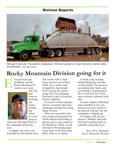### Division Reports



Although it was wet, Transystems employees in Worland pushed on to get the factory started safely and efficiently . Ryan Moore photo

# **Rocky Mountain Division going for it**



veryone has rain problems, and the Rocky Mountain Division is no excep-



tion. We had some interesting moments wondering where we were going to

come up with sugar beets as the campaign started this year.

A slightly late start, compounded by rain and the mud that comes with it, kept many growers out of their fields. For a while, they struggled to dig enough beets to keep the factory going. We were jumping from pile to pile to keep the factory supplied.

Everyone worked together and we overcame that early challenge and kept Wyoming Sugar in beets.

After our successful summer construction projects in North Dakota and lending a hand to move man camps to the Red River Valley, we all returned to Wyoming eager to get back on the beets and that's what we're doing.

A break in the weather helped things dry out after we got started. The growers are pulling their beets, and everything is looking good. We've run loss-free so far and everyone is pleased with that.

A newer loader in Worland and a handful of new employees are more reason to be pleased with the way the campaign is shaping up.

I'm happy with our employees' attitudes and look forward to getting back on schedule and going for it.

> *Steve Torix, Manager, Rocky Mountain Division*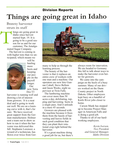# Division Reports **Things are going great in Idaho**

### Brawny harvester struts its stuff

hings are going great in Idaho since harvest started Sept. 19. It is going to be a good season for us and for our customer, The Amalgamated Sugar Company. T

The harvest is coming in with higher tons than we anticipated, which means we



will be hauling more beets and keeping our people on the payroll longer. Our new Terra Dos T3

harvester is running well and drawing a lot of interest from growers. It is a neat deal and is going to work out well. We are on a learning curve with it, that's for sure. We have received great support from the German manufacturer. Holmer sent a team out to show us how to run it when the harvester was delivered this fall. Stephanie Lorenzer, a wizard of a technician, has flown over twice from Ger-



many to help us through the learning process.

The beauty of the harvester is that it replaces an entire crew of workers with one man and a machine. Our operators are new hire Gunnar Cahall, Steve Bellem and Jason Weeks, night supervisor at Twin Falls.

The lumbering machine can cover more than 50 acres a day, defoliating, topping and harvesting beets in a single pass. And it unloads in a mere 45 seconds.

Growers are pleased with the machine because it frees them from the hassle of harvesting and leaves fields in such good condition that they can plant their rotational crop right behind the harvester.

It's a great machine doing a good job for us, but there's always room for innovation. We are headed to Germany this fall to talk about ways to make the harvester even better for growers.

We came into the campaign on the heels of a busy summer. Many of our drivers worked on the Dunn County project in North Dakota. Other employees kept busy on a handful of Knife River jobs closer to home.

Carson Munk has stepped up to become Project Manager in American Falls and is doing a good job.

Thanks to all of our hardworking employees.

> *Kevin Iversen, Vice President and General Manager, Idaho Division*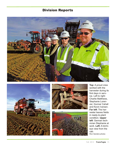### Division Reports









**Top**: A proud crew worked with the harvester during its first days in service. Left to right: Charlie Matthews, Stephanie Lorenzer, Gunnar Cahall and Kevin Iversen. **Far left**: The harvester leaves fields in ready-to-plant condition. **Upper left**: German technician Stephanie at work. **Left:** A bird's eye view from the cab. Rion Sanders photos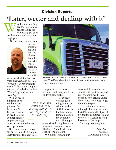# **'Later, wetter and dealing with it'** Division Reports

eather and staffing are the biggest challenges facing the Minnesota Division as the campaign kicks into high gear. W

So far, this year has been



flat-out challenging. It's the kind of year that tells you what you're made of. We got <sup>a</sup> late start, about five

or six weeks later than last year's harvest, and the rain faucet just doesn't want to turn off. We're later and wetter but we're dealing with it. We are "ag" and we deal with "ag."

We had decent numbers in retention of employees. But, because of the late start, we're in head-to-head competition for employees with

construction and other harvest operations.

Drivers are excited about our seven new 2014 Freightliner tractors. The new safety



The Minnesota Division's drivers were pleased to see the seven new 2014 Freightliner tractors put to work on the current campaign. Jessica Harris photo

equipment on the units is amazing, and everyone likes to drive new outfits.

*We're later and wetter but we're dealing with it. We are "ag" and we deal with "ag."*

I can't say enough good things about our administrative staff. I think it's the best administration team in the company. Our billing, pa-

perwork and compliance are always on time and correct. Thanks to Angi, Carlee and Jessica for <sup>a</sup> great job. And thanks, also, to our

seasoned drivers who have joined with our trainers and safety committee to take some 20 new drivers under their wing. They help to get them up to speed.

The maintenance crew, although short one member, has done an excellent job of getting the equipment up and running. We continue to be loss-free in the shop.

Safety grows every day.

*Mike Rood, Manager, Minnesota Division*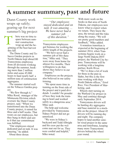### **A summer summary, past and future**

Dunn County work wraps up safely; gearing up for next summer's big project

here was no time to spare between summer construction wrap up and the beginning of the beet harvest this fall. T

The Dunn County and Tobacco Garden projects in North Dakota kept about100 Transystems employees from all divisions working through the summer, booking more than 2 million miles and some 45,000 hours to haul nearly half <sup>a</sup> million tons of construction aggregates.

The summer started well on the Tobacco Garden project.

"We flew through it," Mike Rood, manager of the Minnesota Division which oversaw the Dunn County project, said. "When we transitioned into the Dunn County project, it rained for three and <sup>a</sup> half weeks. That wears on our employees, but they hung in there and saw to it that our commitment was fulfilled.

"Our employees stayed dedicated and on task. It was amazing," he added.

About three dozen

" *Our employees stayed dedicated and on task. It was amazing. ... We have never had a summer job of this duration."*

Transystems employees got bonuses for working the entire length of the projects.

"We have never had <sup>a</sup> summer job of this duration," Mike said. "They were away from home for almost five months. Their willingness to do that, shows they believe in our company."

Employees on the projects also believed in our safety training.

"We spent more time in training on the front side of the project and it paid dividends. <sup>I</sup> couldn't be prouder of how they took the training to heart and worked safely in a dangerous area," Mike said.

The help and welcome provided by Transystems Sidney Project did not go unnoticed.

"We were in Sidney's backyard and Todd Albright and his crew put the welcome mat out for us. They were cordial and helpful," Mike noted.

With more work on the books in that area of North Dakota, our employees now know what to expect when we return. They know the area, the terrain and the risks along the routes. "We will see pretty good numbers and feedback," Mike added.

A seamless transition is expected at the beginning of summer 2014, when Transystems begins work on <sup>a</sup> large North Dakota DOT project, the Watford City bypass. Transystems will be working with <sup>a</sup> longtime partner, Knife River.

"We've done <sup>a</sup> lot of work for them in the past in Idaho, but this is the first time working with their North Dakota offices," Errol Rice, Vice President of Marketing, said.

Wheels start turning on the Watford City project in May and continue through early September 2014.

Transystems drivers will be hauling dry aggregates and base material to <sup>a</sup> stockpile on the project. About 45 drivers will be running day and night. The company hopes to land another similar sized project in the same area and timeframe, keeping many more Transystems drivers behind the wheel year round.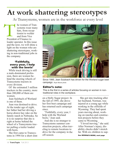# **At work shattering stereotypes**

At Transystems, women are in the workforce at every level

he women of Transystems wear many hats, from receptionist to welder and from Vice President of Finance to loader operator. In this issue and the next, we will shine a light on the women who are shattering stereotypes, working in non-traditional jobs in the company. Presider

### 'Faithfully, every year, I help with the beets'

While truck driving is still a male-dominated profession, there are women behind the steering wheels of Transystems tractors in every division.

Of the estimated 3 million truckers in the country, more than 200,000 of them are women.

Jean Sulzbach of Worland is one of them.

Jean was destined to drive. At the tender age of eight, her father had her driving a horse-drawn hay rake on the family ranch in Nebraska. So it is no surprise that she is right at home behind the wheel of a Transystems tractor pulling a trailer loaded with beets.

She first came to Transystems in 1994 for a short stint



Since 1995, Jean Sulzbach has driven for the Worland sugar beet campaign. Ryan Moore photo

### Editor's note:

This is the first in a series of articles focusing on women in nontraditional roles in the workplace.

on a Holly Sugar project. In the fall of 1995, she drove her first beet campaign and has returned each campaign since.

"Faithfully, every year, I help with the Worland beets," Jean said.

And she is no stranger to Transystems summer construction projects, often traveling to remote locations to drive for the company in the off-season.

She got into trucking after her husband, Norman, was injured at a young age while working in the oilfields of Wyoming. They had spent years moving about, working on ranches and construction projects before they came to Wyoming.

"I loved moving," she said. After Norman's injury, disability checks didn't stretch far. With six children to sup-

See WOMAN'S WORK, next page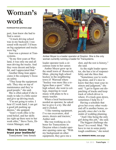# **Woman's work**

Continued from previous page

port, Jean knew she had to find a career.

"A truck driving school was in my backyard. I reasoned with myself: I'd been on big equipment and trucks were big."

Jean was a pioneer at Transystems.

"In my first years at Worland, it was only me and all men driving the trucks. And they were decent and helpful, and I appreciated that."

Another thing Jean appreciates it the company's focus on safety.

"They keep the equipment safe. They stay on top of maintenance and they're good people," she said.

She is often asked if she is ready to take it a little easier and give up driving truck.

"I'm not going to retire. I hear if I work hard, I can get a good job pushing up daisies," she quipped.

"Jean's work ethic is beyond belief, and her skills are right up there next to her work ethic," Steve Torix, Division Manager, said.

#### 'Nice to know they trust your instincts'

Transystems' lone female



Amber Moyer is a loader operator at Drayton. She is the only woman currently running a loader for Transystems.

loader operator took a circuitous route to her career.

Amber Moyer grew up in the small town of Roosevelt, Minn., playing high school hockey in the neighboring town of Warroad where "hockey was more like a religion than a sport." After high school, she went to college, majoring in vocal music with plans to be a music teacher.

When a local businessman needed an operator, he asked her to give it a try. She did and it clicked.

"I like running equipment. I've run excavators, skid steers, dozers and tractors," Amber said.

She was working as a laborer for Transystems in Drayton when a loader operator opening came up. "With my background on other equipment, they gave me a

shot, and the rest is history," she said.

As the night loader operator, she has a lot of responsibility and she likes that.

"Sometimes you're working alone, and it's nice to know that they trust your instincts and judgment," she said. "I get to figure out dispatching of trucks and keep track of which driver is where. If a truck goes down, sometimes I help fix it."

Having a schedule that gives her every other weekend off is another bonus, especially since she's in the midst of wedding planning.

"And I like being the only girl doing this job," she said.

The biggest challenge she faces? In a word: Mud. "We have to run in some pretty tough conditions," she noted.

See WOMAN'S WORK, next page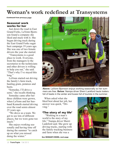### **Woman's work redefined at Transystems**

Continued from previous page

#### Seasonal work works for her

Just down the road in East Grand Forks, LaVonn Bjornson found a company she liked and stuck with it. She began driving truck during the East Grand Forks sugar beet campaign 19 years ago. She was one of two female drivers the year she started.

"Transystems is a good place to work. Everyone, from the managers to the secretaries to the technicians and other drivers is willing to help you out," she said. "That's why I've stayed this long."

LaVonn started out driving the family's farm truck, hauling grain, potatoes and beets.

"Someday, I'll drive a semi," she recalls thinking.

Someday came after her three children were grown, when LaVonn and her husband Kenneth started driving over the road semis almost 25 years ago.

"We drove as a team. We got to see lots of different places, but we were gone too much."

She enjoys working seasonally and having time off during the summer "to catch up on what you missed duing the winter."



**Above**: LaVonn Bjornson enjoys working seasonally so her summers are free. **Below**: Nampa driver Sherri Lankford hauls trailers full of beets in the winter and buses full of tourists in the summer.

When asked what she liked best about her job, her answer was quick, "Driving."

### 'The story of my life'

"Working in a man's world is the story of my life," Nampa driver Sherri Lankford said. She grew up driving trucks, starting with the family trucking business and farm when she was a

See WOMAN'S WORK, next page

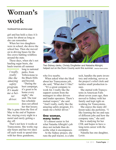# **Woman's work**

#### Continued from previous page

girl and has held a class A license for about as long as she can remember.

When her two daughters were in school, she drove the school bus. Then she moved on to driving buses for the fire crews battling wildfires around the state.

These days, when she's not hauling sugar beets, she hauls tourists all summer

*I really, really like the amazing safety program. It's made me a better driver.*

long to national parks, from Yellowstone to the Black Hills and beyond. "During the beet campaign, it's great to be home every night," she said. The tour bus schedule does not afford her that luxury.

She is gone from the first of May to the end of September, staying every night in a motel and rarely getting a day off.

That's not how it works at Transystems. She works regular hours and has two days off each week to spend time with her three grandsons,



Two Sidney clerks, Christy Dingfelder and Natasha Albright, helped out on the Dunn County work this summer. Jessica Harris photo

who live nearby.

When asked what she liked about her Transystems job, she said, "What don't I like?

"It's a great company to work for. I really like the support system from the managers to other drivers and loader operators. There's mutual respect," she said. "And I really, really like the amazing safety program. It's made me a better driver."

#### One woman, many tasks

It's almost easier to list what Natasha Albright's job does not include than describe what it encompasses.

At the Sidney project, she runs the pull tractor, is a lube tech, handles the parts inventory and ordering, serves as the project's relief clerk and tackles small production issues.

She started with Transystems in American Falls about seven years ago, then moved to Sidney with her family and kept right on working for Transystems.

She enjoys the many different tasks she performs. "I like learning the ins and outs of different jobs and how the company runs," she said.

She is studying for her CDL and hopes to have a long-term career with the company.

Natasha has one daughter, Lexie.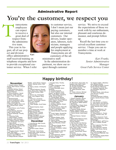### Adminstrative Report **You're the customer, we respect you**

ransystems employees can expect to receive a great deal of respect from the administrative team. This year in August, all of our project and division T

office administrative staff received training on telephone etiquette and how to provide exceptional customer service. When I refer Kari



to customer service, I don't mean just our paying customers, but also our internal customers. Our drivers, loader operators, laborers, technicians, managers and people applying for employment at Transystems are all customers of the ad-

ministrative staff. In the administration department, we show our respect through customer

service. We strive to exceed the expectations of those we work with by our enthusiasm, pleasant and courteous demeanor, and prompt follow up.

Recall the last time you received excellent customer service. I hope you can remember a time at work at Transystems.

*Kari Franks, Senior Administrative Manager Great Falls Service Center*

#### **November**

1. Edward Carlson, Ronald Duarte, Mark Hanson, Edward LaVallie. 2. Danielle McNew, Robert Middlestead, Lee Patterson, Wayne Peterson. 3. Dennis Anderson, Harold Enerson, Cedar Leonard, Edwin Pope, Douglas Torgerson. 4. Michael Russell. 5. Vance Hendrickson, John Jones, Jose Martinez, James Olson, TimorhySproul. 6. Michael Hughley, Gary Lind-gren, Richard Nord, James, Smith. 7. David Moore, Larry Poulton,

8. Dusty Brooks, Nicholas Leach, James Wishart.

9. Tamra Harbaugh, Timothy Rector.

11. Channing Wolfe. 12. Alfred Aragon, Charles Azubuike, Luke Thompson. 13. Gregory Robbins, Delbert Starr, Christopher Van Dyne,

14. Stacy Buchl.<br>15. Mike Ault, Derrek Duden, 15. Mike Ault, Derrek Duden,<br>George Steinetz, Timothy War-<br>ren, Michael Wheeler.

16. Edgar Carranza, Blair<br>Ross.<br>17. Douglas Chutich, Robert<br>Clark, Gary Ward.

18. Ontonio Gallegis Jr., David.<br>Grabow, Jason Mitchell.

19. Margo Barnett, Dwayne

Bratten, James Brock, Gregory Jenson, Samuel Johns, Fred Larson.

20. Nancy Jensen, Christopher Woods. 21. Harriet Anderson, Russell Baker, Brian Clark, Robert Stir-ling, Daniel Thorson, Mark

Unruh. 23. Nicole Lee, Christopher Smith, Larry Wagner, Ricky Walker.

24. Todd Ison, Humberto Morales, Tim Plumley, Sandra

Silva, Lynn Ziebarth. 25. Anthony Lot.

26. Peter Haugen, Scott Peder-<br>son.

27. Robert Amerine, Kylen<br>Hagen.<br>28. Christopher Bly, Howard<br>Mather, Leo Monson. 29. Bill Florence, Thomas<br>Gustafson, Echo Jackson, Michael Thompson.

30. Dale Gunufson, Michael<br>McIntire, Suzanne Spade,<br>Steven Trowbridge. **December**

1. Corey Burrup, Alan Counts,<br>Ronald Schlaht.<br>2. Todd Albright, Keith Boerner,<br>Lee Eken.<br>3. Michael Cooper, Wayne<br>Dart uan.<br>4. Todd Dahl, Travis Hardy,<br>Russel Oyler, Peter Sandoval. 5. Trent Knutson.<br>6. Jason Hass, Noe Quintero,<br>Richard Trapp.

7. Douglas Hicks, Timothy Tauber. 8. Colten Christensen, Alan Larsen, Lyle Wang. 9. Duane Alldredge, Aaron Woolman. 10. Charles Kopacek. 12. David Crawford, Darla Deane, Jay Merritt, Curran Rice, Tracy Ridley, Gerald Riopelle, Dennis Sullivan. 13. Thomas Beitz, Steven Fazekas, Richard Holmgren, Kelvin Iverson, Tamara Metcalf, Robert Miller, Eric Prynn. 14. Joseph Phillipp. 15. Kimberly Dilworth, Robert Hill, Gary Roehl. 16. Norman Church, Steve Dillow, David Gausman, Adam<br>Newton, Lucas Slagter. 17. Gabriel Morales, Todd Wal-<br>Ium.<br>18. Cindy Fuglem, Ronald Mc-<br>Gregor, Roy Moad, Michael<br>Wilson. 19. Stephen Bellem, Kieth Cummins, Leland Peterson.<br>20. Steven Herbst.<br>21. John Hatch, Gregory Mar-<br>lette, Floyd Moseley, Joseph<br>Murrav. 22. Lawrence Gangle, Bryan Gordon, Terry Nelson. 23. Charles Christians, Catherine Chutich. 24. Jesus Escobar, Jose Gar-cia, Ifrael Robles, Tyrell Thomas. 25. Jayme Bohman, William Morrison, Michael Sener. 26. Gunnar Cahall. **Happy birthday!**

27. Bill Cullum, Dean Helm, Es-<br>treberto Loya, Denis Taylor.<br>28. Richard Archibeque.<br>29. Douglas Greeley, Roger<br>Mott, Nichole Peichel.<br>30. Jaide Schoenen, Allan<br>Smith.<br>31. Carlys Johnson, Michael

Ryan, Armandina Salinas,

#### **January**

1: Robert Chamber, Dennis Hoffman, AbdirahmanMahamed, Ben Purrington, Alejan-dro, Sandoval, Gilbert Spillum. 2: Bill Baxter 3: Ronnie Dietz, Shawn Geist,<br>Cecil Napier, Steve Nikkel, Sean O'Donahue.<br>4. Faustino Rosas, Michael<br>Stratton, Gaylord Young. 5. Robby Bakken, Robert Rich. 6. Penny Hoover, David Needham. 7. Michael Hanson, Hamed Mujic. 8. Marla Braff, Mahonri Crane, Jodie Hunt, David Smith, Thomas Wallace. 9. Kirk Gunnell, Ivan Nanney. 10. Rich Carl, Charles Loyd. 11, Higinio Apaza-Vilca, Humberto Flores, Virgil Purrington. 12. Ronald Goroski. 13. Joshua Fetzer, Kevin Iversen, Joshua Roth, Darrel Simonson.<br>14. Dorothy Beasley, Jeffrey<br>Breeding, Danielle Clark, Billy Murphy.

15. Clayton Aafedt, AlfredVecchio. Barbara Zavala. 16. Douglas Archibald, Vincent Rucker, Denise Villanueva. 17. Johathan Carpenter, Bonnie Hofmeister, Raymond Kasprowicz 18. Melvin Brady, Jaime Brown, John McCann, Andrew Rademacher. 19.Charles Bammert, Anthony Clapier, Sandra Richard, Nolan Teel. 20. John Bannert. 21. Julie Douthit, Lori Mullins. 22. Jason Birrer, Alvin Borman, Rodney Hobbs, Kenneth Lancaster, Brandon Nice, Jeffrey<br>Olson. 23. Tammy Halldorson, Jim<br>Hardenbrook, Verl Hunter,<br>Patrick Paulson.<br>24. William Bowe Jr., Duane<br>Johnson, Richard Jnes, Jim<br>Stickney. 25. Eugene Hopwood, Frank<br>Morin, Asael Simmons, Jospeh<br>Stritenberger. Stritenberger. 26. Kirk Ellingford, Jeff Primus. 27. Jerry Loveless, Ronald Weir. 28. Dion Lagunas, Paul Monley, Jean Sulzbach. 29. Lewis Maynard, Hartzell Phillips, Keith Shuck, Norval Staples. 30. Rocky Braegger, Ryan Fiala, Francisco Martinez, Walter Robinson. 31. Jon Goedert, Anglea McEntarfer, Shane Shell.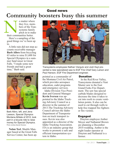### Good news **Community boosters busy this summer**

o matter where they live, members of the Transystems family pitch in to make their communities better. their comm

Here's a sampling of the good things we've been up to.

A little rain did not stop accounts receivable manager **Barb Albro** from bicycling 63 miles to raise \$1,600 for Special Olympics in a summer fund raiser in Great Falls. "I made some new friends and had a great time," Barb said.



Barb Albro, left, and Jena Lawson, Special Olympics Montana Athlete of 2012, took part in a bicycle ride to raise money for Special Olympics. Photo courtesy Special Olympics

**Nolan Teel**, Shuttle Manager based at the Great Falls Service Center, has been ap-



Transystems employees Nathan Viergutz and Josh Kayl presented a new specialized saw to EGF Fire Chief Gary Larson and Paul Hanson, EGF Fire Department engineer.

pointed as a commander of the Montana Civil Air Patrol, which provides aerospace education, cadet programs and emergency services.

Idaho Division Vice President and General Manager **Kevin Iversen** was appointed to the Idaho Trucking Advisory Council as a director in the summer of 2013.The Trucking Advisory Council advises the Idaho Department of Transportation on truck transport issues. Kevin was also appointed as a director of the Idaho Trucking Association. ITA is an industry group that works to promote a safe and efficient transportation system in Idaho.

### **Donation**

In the Red River Valley, Transystems donated a Vent Master saw to the East Grand Forks Fire Department. The saw has special carbide blades designed to decrease the time it takes to cut into roofs to create ventilation points. It also can be used to cut through walls to help free trapped fire fighters or fire victims.

### Engaged

Drayton employee Amber Moyer and Nathanial Brown are planning a December 2014 wedding. Amber is the night loader operator at Drayton and Nathanial is a farmer.